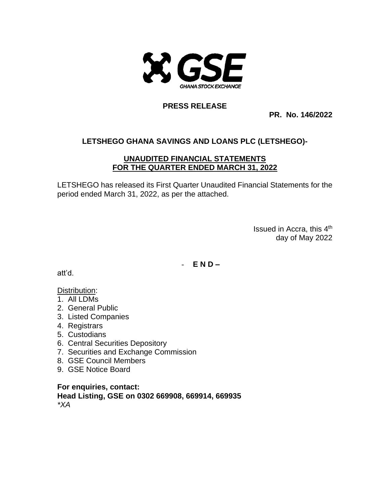

#### **PRESS RELEASE**

**PR. No. 146/2022**

# **LETSHEGO GHANA SAVINGS AND LOANS PLC (LETSHEGO)-**

#### **UNAUDITED FINANCIAL STATEMENTS FOR THE QUARTER ENDED MARCH 31, 2022**

LETSHEGO has released its First Quarter Unaudited Financial Statements for the period ended March 31, 2022, as per the attached.

> Issued in Accra, this 4<sup>th</sup> day of May 2022

- **E N D –**

att'd.

### Distribution:

- 1. All LDMs
- 2. General Public
- 3. Listed Companies
- 4. Registrars
- 5. Custodians
- 6. Central Securities Depository
- 7. Securities and Exchange Commission
- 8. GSE Council Members
- 9. GSE Notice Board

**For enquiries, contact: Head Listing, GSE on 0302 669908, 669914, 669935** *\*XA*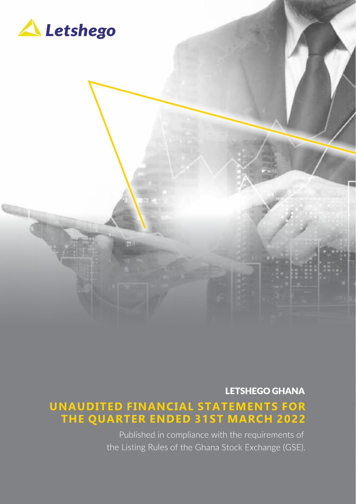

**LETSHEGO GHANA** 

## **UNAUDITED FINANCIAL STATEMENTS FOR THE QUARTER ENDED 31ST MARCH 2022**

Published in compliance with the requirements of the Listing Rules of the Ghana Stock Exchange (GSE).